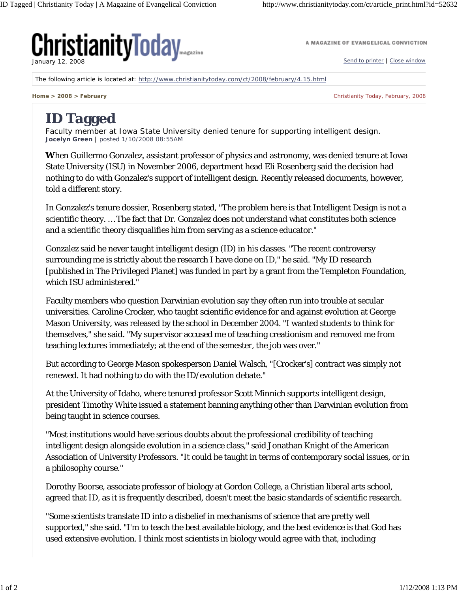

A MAGAZINE OF EVANGELICAL CONVICTION

The following article is located at: http://www.christianitytoday.com/ct/2008/february/4.15.html

**Home > 2008 > February** *Christianity Today,* February, 2008

## **ID Tagged**

*Faculty member at Iowa State University denied tenure for supporting intelligent design.* **Jocelyn Green** | posted 1/10/2008 08:55AM

**W**hen Guillermo Gonzalez, assistant professor of physics and astronomy, was denied tenure at Iowa State University (ISU) in November 2006, department head Eli Rosenberg said the decision had nothing to do with Gonzalez's support of intelligent design. Recently released documents, however, told a different story.

In Gonzalez's tenure dossier, Rosenberg stated, "The problem here is that Intelligent Design is not a scientific theory. … The fact that Dr. Gonzalez does not understand what constitutes both science and a scientific theory disqualifies him from serving as a science educator."

Gonzalez said he never taught intelligent design (ID) in his classes. "The recent controversy surrounding me is strictly about the research I have done on ID," he said. "My ID research [published in *The Privileged Planet*] was funded in part by a grant from the Templeton Foundation, which ISU administered."

Faculty members who question Darwinian evolution say they often run into trouble at secular universities. Caroline Crocker, who taught scientific evidence for and against evolution at George Mason University, was released by the school in December 2004. "I wanted students to think for themselves," she said. "My supervisor accused me of teaching creationism and removed me from teaching lectures immediately; at the end of the semester, the job was over."

But according to George Mason spokesperson Daniel Walsch, "[Crocker's] contract was simply not renewed. It had nothing to do with the ID/evolution debate."

At the University of Idaho, where tenured professor Scott Minnich supports intelligent design, president Timothy White issued a statement banning anything other than Darwinian evolution from being taught in science courses.

"Most institutions would have serious doubts about the professional credibility of teaching intelligent design alongside evolution in a science class," said Jonathan Knight of the American Association of University Professors. "It could be taught in terms of contemporary social issues, or in a philosophy course."

Dorothy Boorse, associate professor of biology at Gordon College, a Christian liberal arts school, agreed that ID, as it is frequently described, doesn't meet the basic standards of scientific research.

"Some scientists translate ID into a disbelief in mechanisms of science that are pretty well supported," she said. "I'm to teach the best available biology, and the best evidence is that God has used extensive evolution. I think most scientists in biology would agree with that, including